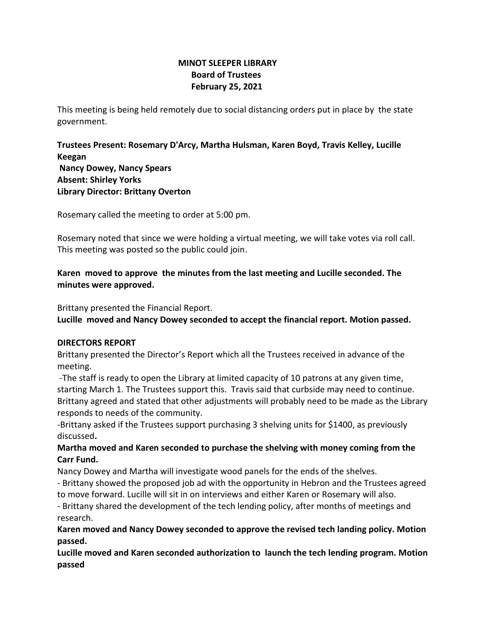# **MINOT SLEEPER LIBRARY Board of Trustees February 25, 2021**

This meeting is being held remotely due to social distancing orders put in place by the state government.

**Trustees Present: Rosemary D'Arcy, Martha Hulsman, Karen Boyd, Travis Kelley, Lucille Keegan Nancy Dowey, Nancy Spears Absent: Shirley Yorks Library Director: Brittany Overton** 

Rosemary called the meeting to order at 5:00 pm.

Rosemary noted that since we were holding a virtual meeting, we will take votes via roll call. This meeting was posted so the public could join.

**Karen moved to approve the minutes from the last meeting and Lucille seconded. The minutes were approved.**

Brittany presented the Financial Report.

**Lucille moved and Nancy Dowey seconded to accept the financial report. Motion passed.**

## **DIRECTORS REPORT**

Brittany presented the Director's Report which all the Trustees received in advance of the meeting.

-The staff is ready to open the Library at limited capacity of 10 patrons at any given time, starting March 1. The Trustees support this. Travis said that curbside may need to continue. Brittany agreed and stated that other adjustments will probably need to be made as the Library responds to needs of the community.

-Brittany asked if the Trustees support purchasing 3 shelving units for \$1400, as previously discussed**.** 

## **Martha moved and Karen seconded to purchase the shelving with money coming from the Carr Fund.**

Nancy Dowey and Martha will investigate wood panels for the ends of the shelves.

- Brittany showed the proposed job ad with the opportunity in Hebron and the Trustees agreed to move forward. Lucille will sit in on interviews and either Karen or Rosemary will also.

- Brittany shared the development of the tech lending policy, after months of meetings and research.

## **Karen moved and Nancy Dowey seconded to approve the revised tech landing policy. Motion passed.**

**Lucille moved and Karen seconded authorization to launch the tech lending program. Motion passed**